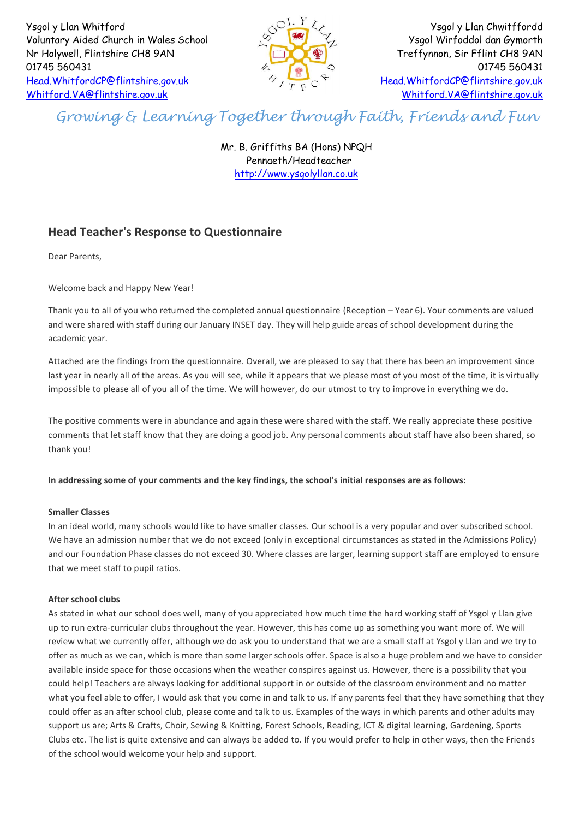Ysgol y Llan Whitford Voluntary Aided Church in Wales School Nr Holywell, Flintshire CH8 9AN 01745 560431 [Head.WhitfordCP@flintshire.gov.uk](mailto:Head.WhitfordCP@flintshire.gov.uk) [Whitford.VA@flintshire.gov.uk](mailto:Whitford.VA@flintshire.gov.uk)



Ysgol y Llan Chwitffordd Ysgol Wirfoddol dan Gymorth Treffynnon, Sir Fflint CH8 9AN 01745 560431 [Head.WhitfordCP@flintshire.gov.uk](mailto:Head.WhitfordCP@flintshire.gov.uk) [Whitford.VA@flintshire.gov.uk](mailto:Whitford.VA@flintshire.gov.uk)

# *Growing & Learning Together through Faith, Friends and Fun*

Mr. B. Griffiths BA (Hons) NPQH Pennaeth/Headteacher [http://www.ysgolyllan.co.uk](http://www.ysgolyllan.co.uk/)

# **Head Teacher's Response to Questionnaire**

Dear Parents,

Welcome back and Happy New Year!

Thank you to all of you who returned the completed annual questionnaire (Reception – Year 6). Your comments are valued and were shared with staff during our January INSET day. They will help guide areas of school development during the academic year.

Attached are the findings from the questionnaire. Overall, we are pleased to say that there has been an improvement since last year in nearly all of the areas. As you will see, while it appears that we please most of you most of the time, it is virtually impossible to please all of you all of the time. We will however, do our utmost to try to improve in everything we do.

The positive comments were in abundance and again these were shared with the staff. We really appreciate these positive comments that let staff know that they are doing a good job. Any personal comments about staff have also been shared, so thank you!

**In addressing some of your comments and the key findings, the school's initial responses are as follows:**

### **Smaller Classes**

In an ideal world, many schools would like to have smaller classes. Our school is a very popular and over subscribed school. We have an admission number that we do not exceed (only in exceptional circumstances as stated in the Admissions Policy) and our Foundation Phase classes do not exceed 30. Where classes are larger, learning support staff are employed to ensure that we meet staff to pupil ratios.

## **After school clubs**

As stated in what our school does well, many of you appreciated how much time the hard working staff of Ysgol y Llan give up to run extra-curricular clubs throughout the year. However, this has come up as something you want more of. We will review what we currently offer, although we do ask you to understand that we are a small staff at Ysgol y Llan and we try to offer as much as we can, which is more than some larger schools offer. Space is also a huge problem and we have to consider available inside space for those occasions when the weather conspires against us. However, there is a possibility that you could help! Teachers are always looking for additional support in or outside of the classroom environment and no matter what you feel able to offer, I would ask that you come in and talk to us. If any parents feel that they have something that they could offer as an after school club, please come and talk to us. Examples of the ways in which parents and other adults may support us are; Arts & Crafts, Choir, Sewing & Knitting, Forest Schools, Reading, ICT & digital learning, Gardening, Sports Clubs etc. The list is quite extensive and can always be added to. If you would prefer to help in other ways, then the Friends of the school would welcome your help and support.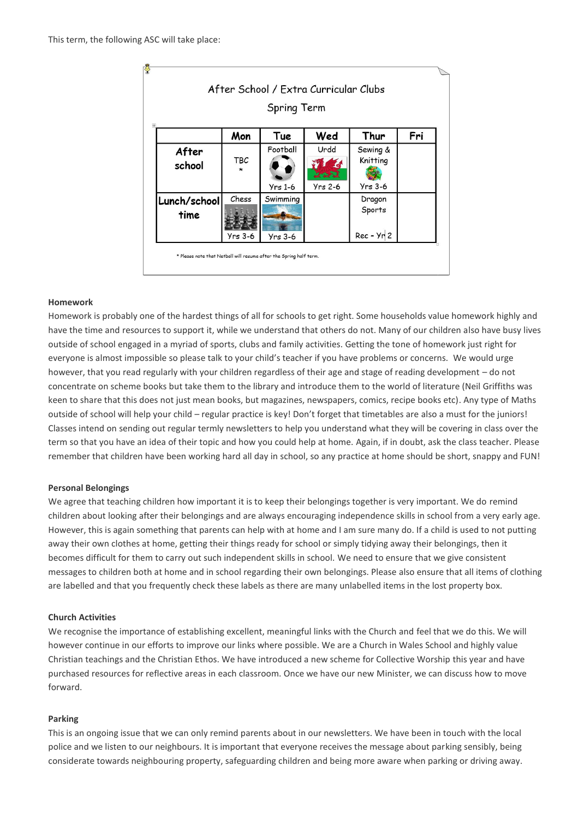|                      |                       | Spring Term           |                                      |                                   |     |
|----------------------|-----------------------|-----------------------|--------------------------------------|-----------------------------------|-----|
|                      | Mon                   | Tue                   | Wed                                  | Thur                              | Fri |
| After<br>school      | <b>TBC</b><br>$\star$ | Football<br>$Yrs$ 1-6 | Urdd<br><b>VAN</b><br><b>Yrs 2-6</b> | Sewing &<br>Knitting<br>$Yrs$ 3-6 |     |
| Lunch/school<br>time | Chess<br>Yrs 3-6      | Swimming<br>$Yrs$ 3-6 |                                      | Dragon<br>Sports<br>$Rec - Yr 2$  |     |

#### **Homework**

Homework is probably one of the hardest things of all for schools to get right. Some households value homework highly and have the time and resources to support it, while we understand that others do not. Many of our children also have busy lives outside of school engaged in a myriad of sports, clubs and family activities. Getting the tone of homework just right for everyone is almost impossible so please talk to your child's teacher if you have problems or concerns. We would urge however, that you read regularly with your children regardless of their age and stage of reading development – do not concentrate on scheme books but take them to the library and introduce them to the world of literature (Neil Griffiths was keen to share that this does not just mean books, but magazines, newspapers, comics, recipe books etc). Any type of Maths outside of school will help your child – regular practice is key! Don't forget that timetables are also a must for the juniors! Classes intend on sending out regular termly newsletters to help you understand what they will be covering in class over the term so that you have an idea of their topic and how you could help at home. Again, if in doubt, ask the class teacher. Please remember that children have been working hard all day in school, so any practice at home should be short, snappy and FUN!

#### **Personal Belongings**

We agree that teaching children how important it is to keep their belongings together is very important. We do remind children about looking after their belongings and are always encouraging independence skills in school from a very early age. However, this is again something that parents can help with at home and I am sure many do. If a child is used to not putting away their own clothes at home, getting their things ready for school or simply tidying away their belongings, then it becomes difficult for them to carry out such independent skills in school. We need to ensure that we give consistent messages to children both at home and in school regarding their own belongings. Please also ensure that all items of clothing are labelled and that you frequently check these labels as there are many unlabelled items in the lost property box.

#### **Church Activities**

We recognise the importance of establishing excellent, meaningful links with the Church and feel that we do this. We will however continue in our efforts to improve our links where possible. We are a Church in Wales School and highly value Christian teachings and the Christian Ethos. We have introduced a new scheme for Collective Worship this year and have purchased resources for reflective areas in each classroom. Once we have our new Minister, we can discuss how to move forward.

#### **Parking**

This is an ongoing issue that we can only remind parents about in our newsletters. We have been in touch with the local police and we listen to our neighbours. It is important that everyone receives the message about parking sensibly, being considerate towards neighbouring property, safeguarding children and being more aware when parking or driving away.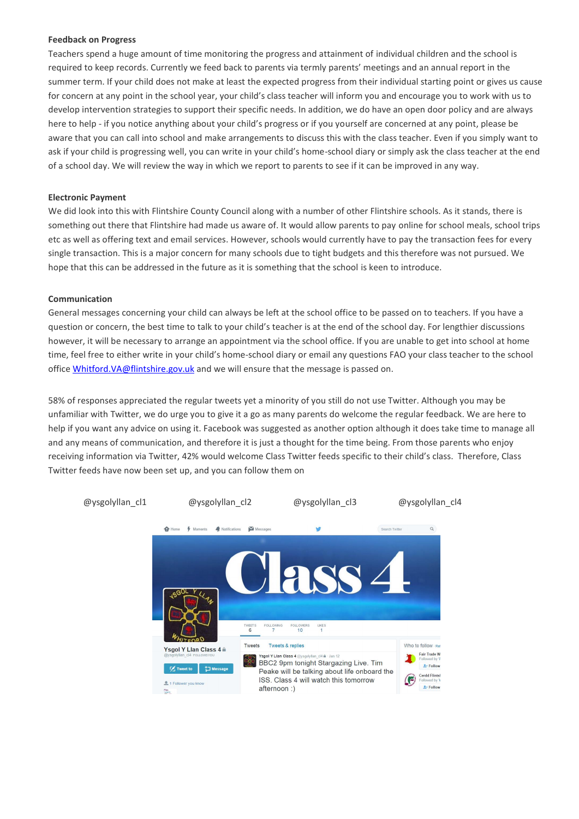#### **Feedback on Progress**

Teachers spend a huge amount of time monitoring the progress and attainment of individual children and the school is required to keep records. Currently we feed back to parents via termly parents' meetings and an annual report in the summer term. If your child does not make at least the expected progress from their individual starting point or gives us cause for concern at any point in the school year, your child's class teacher will inform you and encourage you to work with us to develop intervention strategies to support their specific needs. In addition, we do have an open door policy and are always here to help - if you notice anything about your child's progress or if you yourself are concerned at any point, please be aware that you can call into school and make arrangements to discuss this with the class teacher. Even if you simply want to ask if your child is progressing well, you can write in your child's home-school diary or simply ask the class teacher at the end of a school day. We will review the way in which we report to parents to see if it can be improved in any way.

#### **Electronic Payment**

We did look into this with Flintshire County Council along with a number of other Flintshire schools. As it stands, there is something out there that Flintshire had made us aware of. It would allow parents to pay online for school meals, school trips etc as well as offering text and email services. However, schools would currently have to pay the transaction fees for every single transaction. This is a major concern for many schools due to tight budgets and this therefore was not pursued. We hope that this can be addressed in the future as it is something that the school is keen to introduce.

#### **Communication**

General messages concerning your child can always be left at the school office to be passed on to teachers. If you have a question or concern, the best time to talk to your child's teacher is at the end of the school day. For lengthier discussions however, it will be necessary to arrange an appointment via the school office. If you are unable to get into school at home time, feel free to either write in your child's home-school diary or email any questions FAO your class teacher to the school office [Whitford.VA@flintshire.gov.uk](mailto:Whitford.VA@flintshire.gov.uk) and we will ensure that the message is passed on.

58% of responses appreciated the regular tweets yet a minority of you still do not use Twitter. Although you may be unfamiliar with Twitter, we do urge you to give it a go as many parents do welcome the regular feedback. We are here to help if you want any advice on using it. Facebook was suggested as another option although it does take time to manage all and any means of communication, and therefore it is just a thought for the time being. From those parents who enjoy receiving information via Twitter, 42% would welcome Class Twitter feeds specific to their child's class. Therefore, Class Twitter feeds have now been set up, and you can follow them on

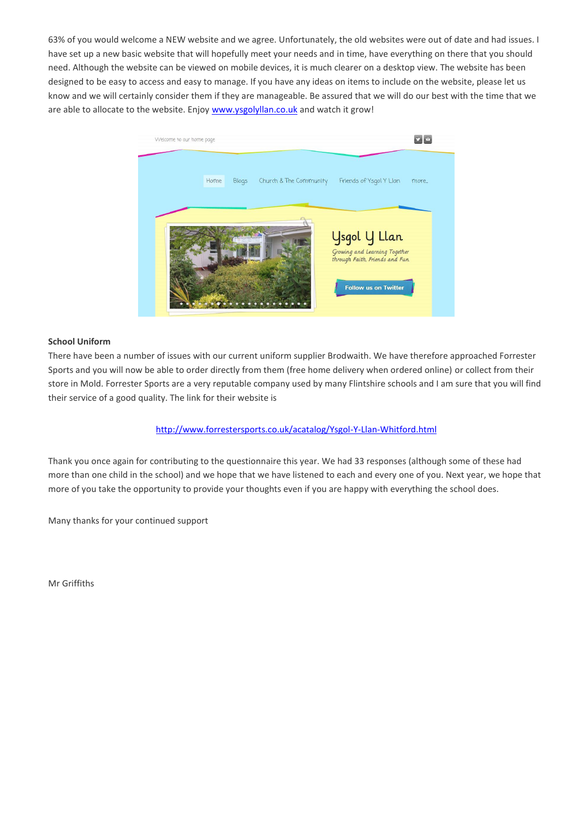63% of you would welcome a NEW website and we agree. Unfortunately, the old websites were out of date and had issues. I have set up a new basic website that will hopefully meet your needs and in time, have everything on there that you should need. Although the website can be viewed on mobile devices, it is much clearer on a desktop view. The website has been designed to be easy to access and easy to manage. If you have any ideas on items to include on the website, please let us know and we will certainly consider them if they are manageable. Be assured that we will do our best with the time that we are able to allocate to the website. Enjoy [www.ysgolyllan.co.uk](http://www.ysgolyllan.co.uk/) and watch it grow!



#### **School Uniform**

There have been a number of issues with our current uniform supplier Brodwaith. We have therefore approached Forrester Sports and you will now be able to order directly from them (free home delivery when ordered online) or collect from their store in Mold. Forrester Sports are a very reputable company used by many Flintshire schools and I am sure that you will find their service of a good quality. The link for their website is

### <http://www.forrestersports.co.uk/acatalog/Ysgol-Y-Llan-Whitford.html>

Thank you once again for contributing to the questionnaire this year. We had 33 responses (although some of these had more than one child in the school) and we hope that we have listened to each and every one of you. Next year, we hope that more of you take the opportunity to provide your thoughts even if you are happy with everything the school does.

Many thanks for your continued support

Mr Griffiths